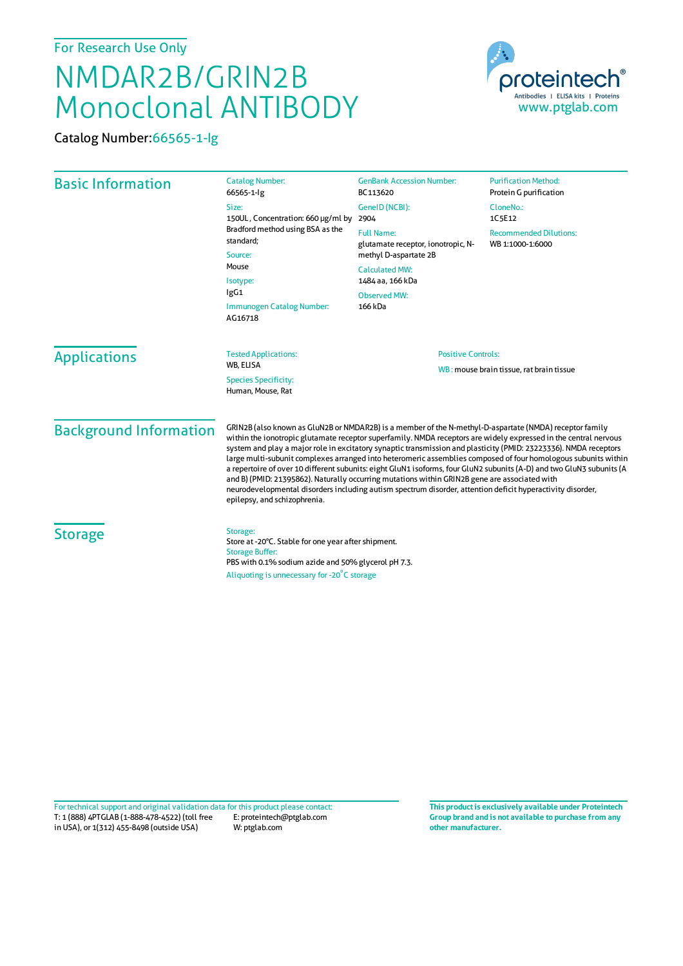## For Research Use Only

## NMDAR2B/GRIN2B Monoclonal ANTIBODY

Catalog Number:66565-1-Ig



| <b>Basic Information</b>      | <b>Catalog Number:</b><br>66565-1-lg                                                                                                                                                                                                                                                                                                                                                                                                                                                                                                                                                                                                                                                                                                                                                                                                      | <b>GenBank Accession Number:</b><br>BC113620                                                              | <b>Purification Method:</b><br>Protein G purification |                                |  |
|-------------------------------|-------------------------------------------------------------------------------------------------------------------------------------------------------------------------------------------------------------------------------------------------------------------------------------------------------------------------------------------------------------------------------------------------------------------------------------------------------------------------------------------------------------------------------------------------------------------------------------------------------------------------------------------------------------------------------------------------------------------------------------------------------------------------------------------------------------------------------------------|-----------------------------------------------------------------------------------------------------------|-------------------------------------------------------|--------------------------------|--|
|                               | Size:                                                                                                                                                                                                                                                                                                                                                                                                                                                                                                                                                                                                                                                                                                                                                                                                                                     | GeneID (NCBI):                                                                                            | CloneNo.:                                             |                                |  |
|                               | 150UL, Concentration: 660 µg/ml by<br>Bradford method using BSA as the<br>standard;<br>Source:<br>Mouse<br>Isotype:<br>lgG1<br>Immunogen Catalog Number:<br>AG16718                                                                                                                                                                                                                                                                                                                                                                                                                                                                                                                                                                                                                                                                       | 2904                                                                                                      | 1C5E12                                                |                                |  |
|                               |                                                                                                                                                                                                                                                                                                                                                                                                                                                                                                                                                                                                                                                                                                                                                                                                                                           | <b>Full Name:</b><br>glutamate receptor, ionotropic, N-<br>methyl D-aspartate 2B<br><b>Calculated MW:</b> | <b>Recommended Dilutions:</b><br>WB 1:1000-1:6000     |                                |  |
|                               |                                                                                                                                                                                                                                                                                                                                                                                                                                                                                                                                                                                                                                                                                                                                                                                                                                           |                                                                                                           |                                                       | 1484 aa, 166 kDa               |  |
|                               |                                                                                                                                                                                                                                                                                                                                                                                                                                                                                                                                                                                                                                                                                                                                                                                                                                           |                                                                                                           |                                                       | <b>Observed MW:</b><br>166 kDa |  |
|                               |                                                                                                                                                                                                                                                                                                                                                                                                                                                                                                                                                                                                                                                                                                                                                                                                                                           | <b>Applications</b>                                                                                       | <b>Tested Applications:</b><br>WB, ELISA              |                                |  |
|                               |                                                                                                                                                                                                                                                                                                                                                                                                                                                                                                                                                                                                                                                                                                                                                                                                                                           |                                                                                                           |                                                       |                                |  |
|                               |                                                                                                                                                                                                                                                                                                                                                                                                                                                                                                                                                                                                                                                                                                                                                                                                                                           |                                                                                                           | <b>Species Specificity:</b><br>Human, Mouse, Rat      |                                |  |
| <b>Background Information</b> | GRIN2B (also known as GluN2B or NMDAR2B) is a member of the N-methyl-D-aspartate (NMDA) receptor family<br>within the ionotropic glutamate receptor superfamily. NMDA receptors are widely expressed in the central nervous<br>system and play a major role in excitatory synaptic transmission and plasticity (PMID: 23223336). NMDA receptors<br>large multi-subunit complexes arranged into heteromeric assemblies composed of four homologous subunits within<br>a repertoire of over 10 different subunits: eight GluN1 isoforms, four GluN2 subunits (A-D) and two GluN3 subunits (A<br>and B) (PMID: 21395862). Naturally occurring mutations within GRIN2B gene are associated with<br>neurodevelopmental disorders including autism spectrum disorder, attention deficit hyperactivity disorder,<br>epilepsy, and schizophrenia. |                                                                                                           |                                                       |                                |  |
| <b>Storage</b>                | Storage:<br>Store at -20°C. Stable for one year after shipment.<br><b>Storage Buffer:</b><br>PBS with 0.1% sodium azide and 50% glycerol pH 7.3.<br>Aliquoting is unnecessary for -20°C storage                                                                                                                                                                                                                                                                                                                                                                                                                                                                                                                                                                                                                                           |                                                                                                           |                                                       |                                |  |

T: 1 (888) 4PTGLAB (1-888-478-4522) (toll free in USA), or 1(312) 455-8498 (outside USA) E: proteintech@ptglab.com W: ptglab.com Fortechnical support and original validation data forthis product please contact: **This productis exclusively available under Proteintech**

**Group brand and is not available to purchase from any other manufacturer.**